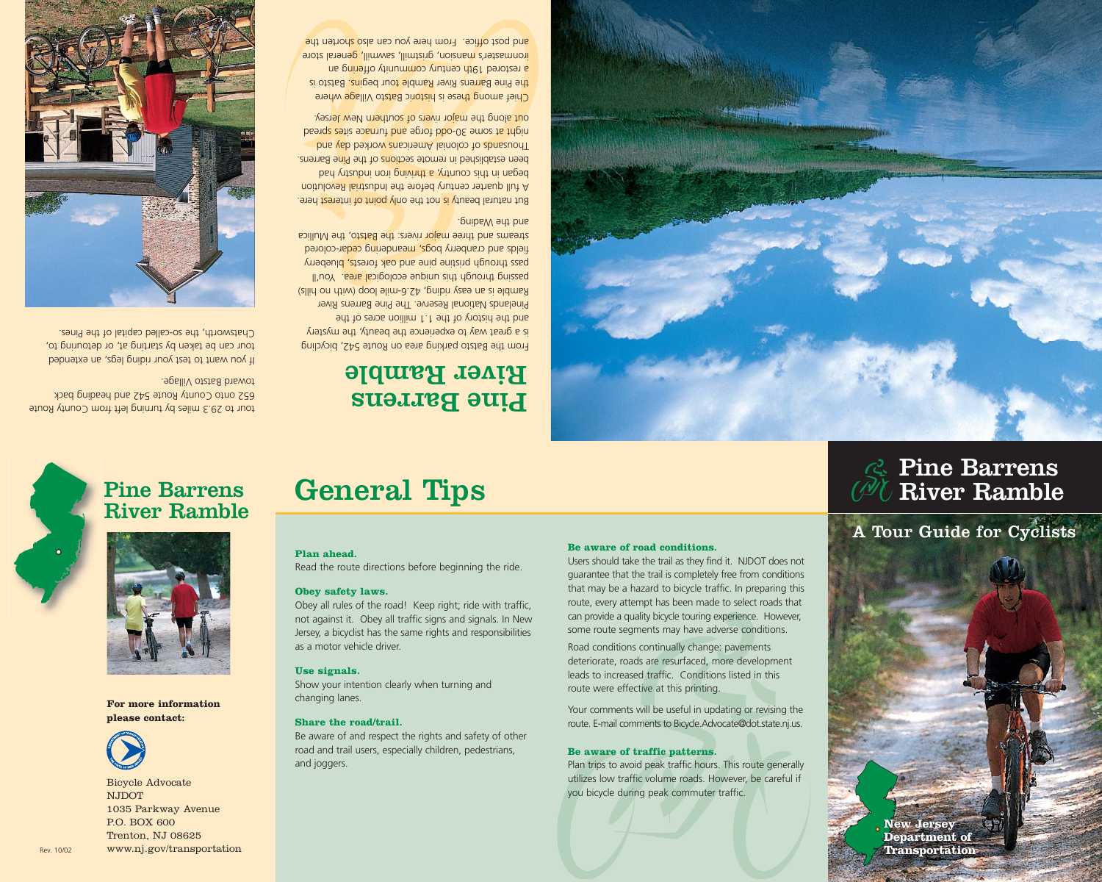## **Pine Barrens<br>River Ramble**

## **General Tips**





**For more information please contact:**



Bicycle Advocate NJDOT 1035 Parkway Avenue P.O. BOX 600 Trenton, NJ 08625 Rev. 10/02 www.nj.gov/transportation

#### **Plan ahead.**

Read the route directions before beginning the ride.

#### **Obey safety laws.**

Obey all rules of the road! Keep right; ride with traffic, not against it. Obey all traffic signs and signals. In New Jersey, a bicyclist has the same rights and responsibilities as a motor vehicle driver.

#### **Use signals.**

Show your intention clearly when turning and changing lanes.

#### **Share the road/trail.**

Be aware of and respect the rights and safety of other road and trail users, especially children, pedestrians, and joggers.

#### **Be aware of road conditions.**

Users should take the trail as they find it. NJDOT does not guarantee that the trail is completely free from conditions that may be a hazard to bicycle traffic. In preparing this route, every attempt has been made to select roads that can provide a quality bicycle touring experience. However, some route segments may have adverse conditions.

Road conditions continually change: pavements deteriorate, roads are resurfaced, more development leads to increased traffic. Conditions listed in this route were effective at this printing.

Your comments will be useful in updating or revising the route. E-mail comments to Bicycle.Advocate@dot.state.nj.us.

#### **Be aware of traffic patterns.**

Plan trips to avoid peak traffic hours. This route generally utilizes low traffic volume roads. However, be careful if you bicycle during peak commuter traffic.

# **New Jersey Department of Transportation** A Tour Guide for Cyclists **New Jersey New Jersey**

**Department of of Transportation**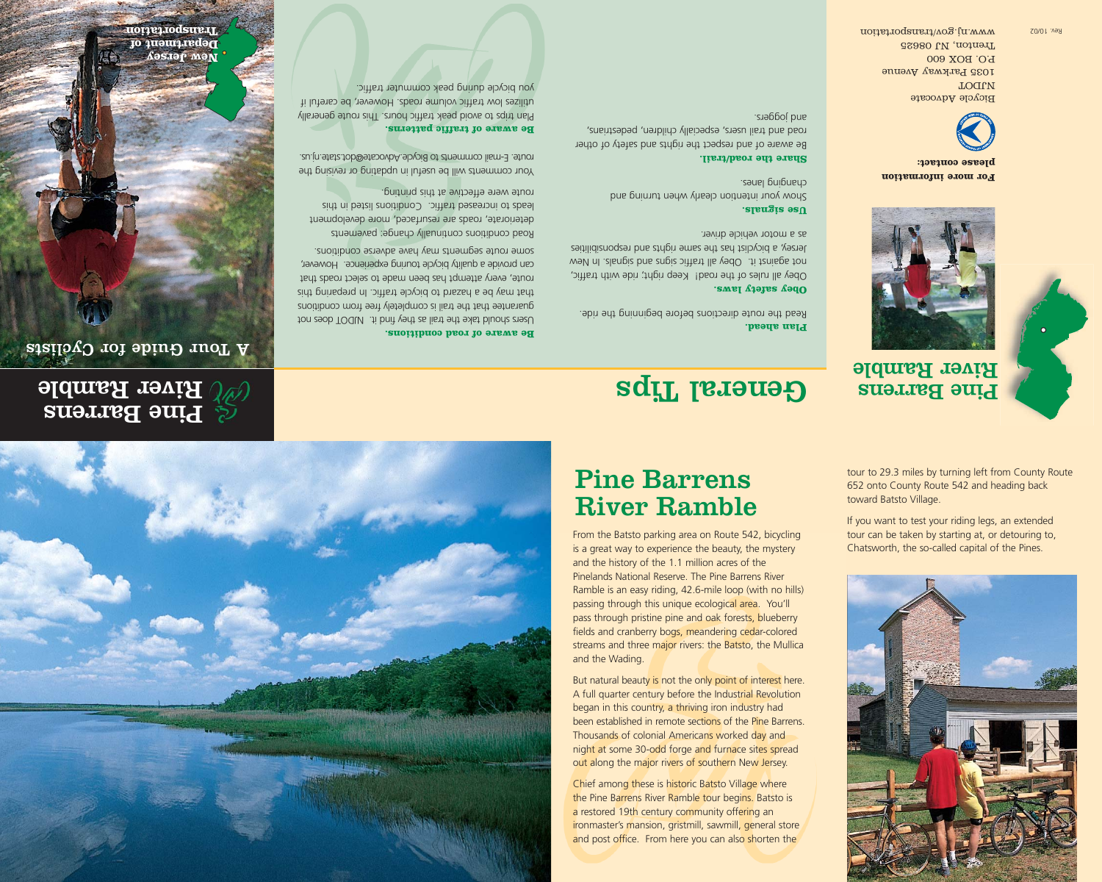

### Pine Barrens River Ramble

From the Batsto parking area on Route 542, bicycling is a great way to experience the beauty, the mystery and the history of the 1.1 million acres of the Pinelands National Reserve. The Pine Barrens River Ramble is an easy riding, 42.6-mile loop (with no hills) passing through this unique ecological area. You'll pass through pristine pine and oak forests, blueberry fields and cranberry bogs, meandering cedar-colored streams and three major rivers: the Batsto, the Mullica and the Wading.

But natural beauty is not the only point of interest here. A full quarter century before the Industrial Revolution began in this country, a thriving iron industry had been established in remote sections of the Pine Barrens. Thousands of colonial Americans worked day and night at some 30-odd forge and furnace sites spread out along the major rivers of southern New Jersey.

Chief among these is historic Batsto Village where the Pine Barrens River Ramble tour begins. Batsto is a restored 19th century community offering an ironmaster's mansion, gristmill, sawmill, general store and post office. From here you can also shorten the

tour to 29.3 miles by turning left from County Route 652 onto County Route 542 and heading back toward Batsto Village.

If you want to test your riding legs, an extended tour can be taken by starting at, or detouring to, Chatsworth, the so-called capital of the Pines.